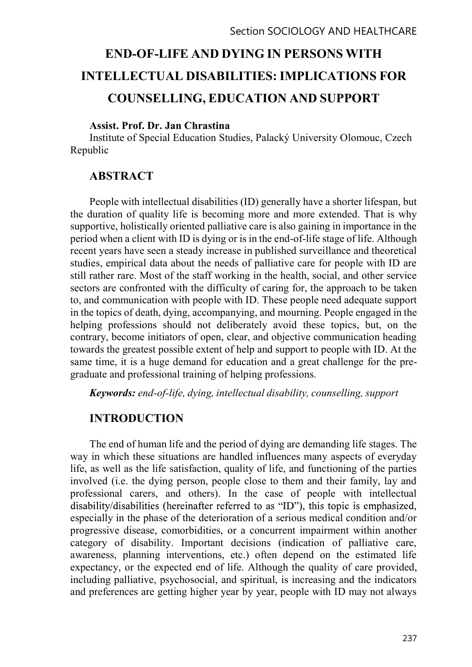# END-OF-LIFE AND DYING IN PERSONS WITH INTELLECTUAL DISABILITIES: IMPLICATIONS FOR COUNSELLING, EDUCATION AND SUPPORT

#### Assist. Prof. Dr. Jan Chrastina

Institute of Special Education Studies, Palacký University Olomouc, Czech Republic

## ABSTRACT

People with intellectual disabilities (ID) generally have a shorter lifespan, but the duration of quality life is becoming more and more extended. That is why supportive, holistically oriented palliative care is also gaining in importance in the period when a client with ID is dying or is in the end-of-life stage of life. Although recent years have seen a steady increase in published surveillance and theoretical studies, empirical data about the needs of palliative care for people with ID are still rather rare. Most of the staff working in the health, social, and other service sectors are confronted with the difficulty of caring for, the approach to be taken to, and communication with people with ID. These people need adequate support in the topics of death, dying, accompanying, and mourning. People engaged in the helping professions should not deliberately avoid these topics, but, on the contrary, become initiators of open, clear, and objective communication heading towards the greatest possible extent of help and support to people with ID. At the same time, it is a huge demand for education and a great challenge for the pregraduate and professional training of helping professions.

Keywords: end-of-life, dying, intellectual disability, counselling, support

# INTRODUCTION

The end of human life and the period of dying are demanding life stages. The way in which these situations are handled influences many aspects of everyday life, as well as the life satisfaction, quality of life, and functioning of the parties involved (i.e. the dying person, people close to them and their family, lay and professional carers, and others). In the case of people with intellectual disability/disabilities (hereinafter referred to as "ID"), this topic is emphasized, especially in the phase of the deterioration of a serious medical condition and/or progressive disease, comorbidities, or a concurrent impairment within another category of disability. Important decisions (indication of palliative care, awareness, planning interventions, etc.) often depend on the estimated life expectancy, or the expected end of life. Although the quality of care provided, including palliative, psychosocial, and spiritual, is increasing and the indicators and preferences are getting higher year by year, people with ID may not always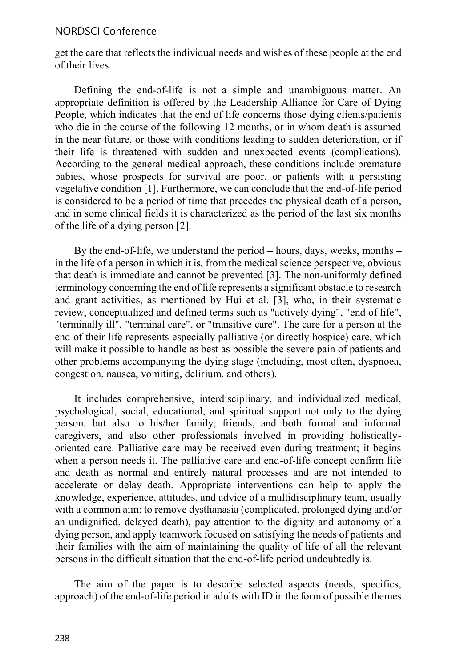get the care that reflects the individual needs and wishes of these people at the end of their lives.

Defining the end-of-life is not a simple and unambiguous matter. An appropriate definition is offered by the Leadership Alliance for Care of Dying People, which indicates that the end of life concerns those dying clients/patients who die in the course of the following 12 months, or in whom death is assumed in the near future, or those with conditions leading to sudden deterioration, or if their life is threatened with sudden and unexpected events (complications). According to the general medical approach, these conditions include premature babies, whose prospects for survival are poor, or patients with a persisting vegetative condition [1]. Furthermore, we can conclude that the end-of-life period is considered to be a period of time that precedes the physical death of a person, and in some clinical fields it is characterized as the period of the last six months of the life of a dying person [2].

By the end-of-life, we understand the period  $-$  hours, days, weeks, months  $$ in the life of a person in which it is, from the medical science perspective, obvious that death is immediate and cannot be prevented [3]. The non-uniformly defined terminology concerning the end of life represents a significant obstacle to research and grant activities, as mentioned by Hui et al. [3], who, in their systematic review, conceptualized and defined terms such as "actively dying", "end of life", "terminally ill", "terminal care", or "transitive care". The care for a person at the end of their life represents especially palliative (or directly hospice) care, which will make it possible to handle as best as possible the severe pain of patients and other problems accompanying the dying stage (including, most often, dyspnoea, congestion, nausea, vomiting, delirium, and others).

It includes comprehensive, interdisciplinary, and individualized medical, psychological, social, educational, and spiritual support not only to the dying person, but also to his/her family, friends, and both formal and informal caregivers, and also other professionals involved in providing holisticallyoriented care. Palliative care may be received even during treatment; it begins when a person needs it. The palliative care and end-of-life concept confirm life and death as normal and entirely natural processes and are not intended to accelerate or delay death. Appropriate interventions can help to apply the knowledge, experience, attitudes, and advice of a multidisciplinary team, usually with a common aim: to remove dysthanasia (complicated, prolonged dying and/or an undignified, delayed death), pay attention to the dignity and autonomy of a dying person, and apply teamwork focused on satisfying the needs of patients and their families with the aim of maintaining the quality of life of all the relevant persons in the difficult situation that the end-of-life period undoubtedly is.

The aim of the paper is to describe selected aspects (needs, specifics, approach) of the end-of-life period in adults with ID in the form of possible themes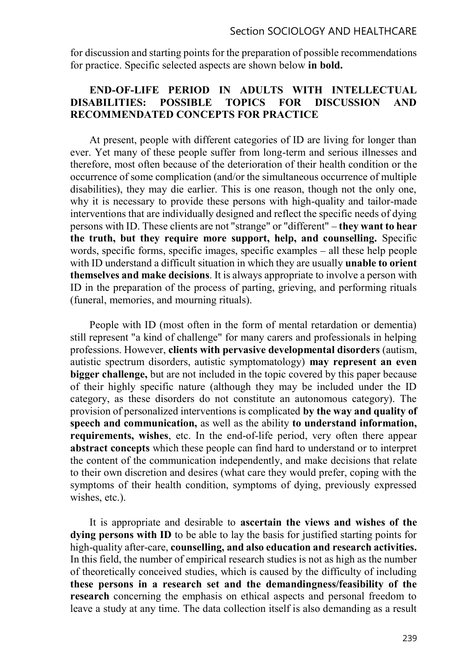for discussion and starting points for the preparation of possible recommendations for practice. Specific selected aspects are shown below in bold.

#### END-OF-LIFE PERIOD IN ADULTS WITH INTELLECTUAL DISABILITIES: POSSIBLE TOPICS FOR DISCUSSION AND RECOMMENDATED CONCEPTS FOR PRACTICE

At present, people with different categories of ID are living for longer than ever. Yet many of these people suffer from long-term and serious illnesses and therefore, most often because of the deterioration of their health condition or the occurrence of some complication (and/or the simultaneous occurrence of multiple disabilities), they may die earlier. This is one reason, though not the only one, why it is necessary to provide these persons with high-quality and tailor-made interventions that are individually designed and reflect the specific needs of dying persons with ID. These clients are not "strange" or "different" - they want to hear the truth, but they require more support, help, and counselling. Specific words, specific forms, specific images, specific examples  $-$  all these help people with ID understand a difficult situation in which they are usually **unable to orient** themselves and make decisions. It is always appropriate to involve a person with ID in the preparation of the process of parting, grieving, and performing rituals (funeral, memories, and mourning rituals).

People with ID (most often in the form of mental retardation or dementia) still represent "a kind of challenge" for many carers and professionals in helping professions. However, clients with pervasive developmental disorders (autism, autistic spectrum disorders, autistic symptomatology) may represent an even bigger challenge, but are not included in the topic covered by this paper because of their highly specific nature (although they may be included under the ID category, as these disorders do not constitute an autonomous category). The provision of personalized interventions is complicated by the way and quality of speech and communication, as well as the ability to understand information, requirements, wishes, etc. In the end-of-life period, very often there appear abstract concepts which these people can find hard to understand or to interpret the content of the communication independently, and make decisions that relate to their own discretion and desires (what care they would prefer, coping with the symptoms of their health condition, symptoms of dying, previously expressed wishes, etc.).

It is appropriate and desirable to ascertain the views and wishes of the dying persons with ID to be able to lay the basis for justified starting points for high-quality after-care, counselling, and also education and research activities. In this field, the number of empirical research studies is not as high as the number of theoretically conceived studies, which is caused by the difficulty of including these persons in a research set and the demandingness/feasibility of the research concerning the emphasis on ethical aspects and personal freedom to leave a study at any time. The data collection itself is also demanding as a result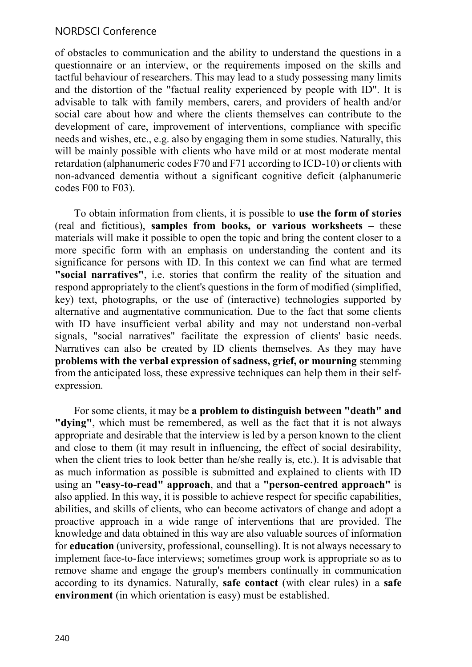of obstacles to communication and the ability to understand the questions in a questionnaire or an interview, or the requirements imposed on the skills and tactful behaviour of researchers. This may lead to a study possessing many limits and the distortion of the "factual reality experienced by people with ID". It is advisable to talk with family members, carers, and providers of health and/or social care about how and where the clients themselves can contribute to the development of care, improvement of interventions, compliance with specific needs and wishes, etc., e.g. also by engaging them in some studies. Naturally, this will be mainly possible with clients who have mild or at most moderate mental retardation (alphanumeric codes F70 and F71 according to ICD-10) or clients with non-advanced dementia without a significant cognitive deficit (alphanumeric codes F00 to F03).

To obtain information from clients, it is possible to use the form of stories  $^{\prime}$  (real and fictitious), samples from books, or various worksheets – these materials will make it possible to open the topic and bring the content closer to a more specific form with an emphasis on understanding the content and its significance for persons with ID. In this context we can find what are termed "social narratives", i.e. stories that confirm the reality of the situation and respond appropriately to the client's questions in the form of modified (simplified, key) text, photographs, or the use of (interactive) technologies supported by alternative and augmentative communication. Due to the fact that some clients with ID have insufficient verbal ability and may not understand non-verbal signals, "social narratives" facilitate the expression of clients' basic needs. Narratives can also be created by ID clients themselves. As they may have problems with the verbal expression of sadness, grief, or mourning stemming from the anticipated loss, these expressive techniques can help them in their selfexpression.

For some clients, it may be a problem to distinguish between "death" and "dving", which must be remembered, as well as the fact that it is not always appropriate and desirable that the interview is led by a person known to the client and close to them (it may result in influencing, the effect of social desirability, when the client tries to look better than he/she really is, etc.). It is advisable that as much information as possible is submitted and explained to clients with ID using an "easy-to-read" approach, and that a "person-centred approach" is also applied. In this way, it is possible to achieve respect for specific capabilities, abilities, and skills of clients, who can become activators of change and adopt a proactive approach in a wide range of interventions that are provided. The knowledge and data obtained in this way are also valuable sources of information for education (university, professional, counselling). It is not always necessary to implement face-to-face interviews; sometimes group work is appropriate so as to remove shame and engage the group's members continually in communication according to its dynamics. Naturally, safe contact (with clear rules) in a safe environment (in which orientation is easy) must be established.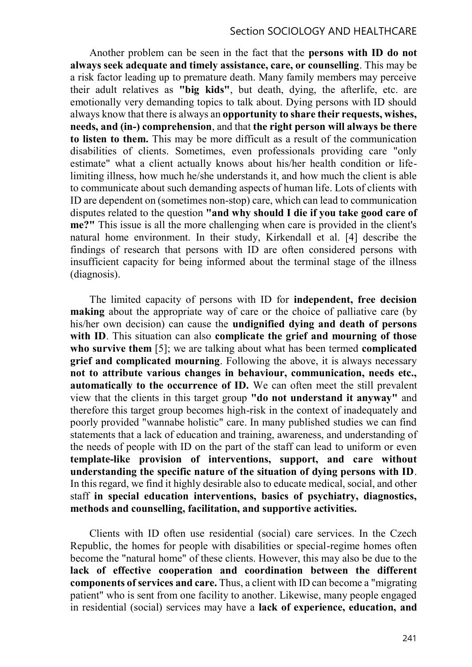Another problem can be seen in the fact that the persons with ID do not always seek adequate and timely assistance, care, or counselling. This may be a risk factor leading up to premature death. Many family members may perceive their adult relatives as "big kids", but death, dying, the afterlife, etc. are emotionally very demanding topics to talk about. Dying persons with ID should always know that there is always an opportunity to share their requests, wishes, needs, and (in-) comprehension, and that the right person will always be there to listen to them. This may be more difficult as a result of the communication disabilities of clients. Sometimes, even professionals providing care "only estimate" what a client actually knows about his/her health condition or lifelimiting illness, how much he/she understands it, and how much the client is able to communicate about such demanding aspects of human life. Lots of clients with ID are dependent on (sometimes non-stop) care, which can lead to communication disputes related to the question "and why should I die if you take good care of me?" This issue is all the more challenging when care is provided in the client's natural home environment. In their study, Kirkendall et al. [4] describe the findings of research that persons with ID are often considered persons with insufficient capacity for being informed about the terminal stage of the illness (diagnosis).

The limited capacity of persons with ID for independent, free decision making about the appropriate way of care or the choice of palliative care (by his/her own decision) can cause the undignified dying and death of persons with ID. This situation can also complicate the grief and mourning of those who survive them [5]; we are talking about what has been termed complicated grief and complicated mourning. Following the above, it is always necessary not to attribute various changes in behaviour, communication, needs etc., automatically to the occurrence of ID. We can often meet the still prevalent view that the clients in this target group "do not understand it anyway" and therefore this target group becomes high-risk in the context of inadequately and poorly provided "wannabe holistic" care. In many published studies we can find statements that a lack of education and training, awareness, and understanding of the needs of people with ID on the part of the staff can lead to uniform or even template-like provision of interventions, support, and care without understanding the specific nature of the situation of dying persons with ID. In this regard, we find it highly desirable also to educate medical, social, and other staff in special education interventions, basics of psychiatry, diagnostics, methods and counselling, facilitation, and supportive activities.

Clients with ID often use residential (social) care services. In the Czech Republic, the homes for people with disabilities or special-regime homes often become the "natural home" of these clients. However, this may also be due to the lack of effective cooperation and coordination between the different components of services and care. Thus, a client with ID can become a "migrating patient" who is sent from one facility to another. Likewise, many people engaged in residential (social) services may have a lack of experience, education, and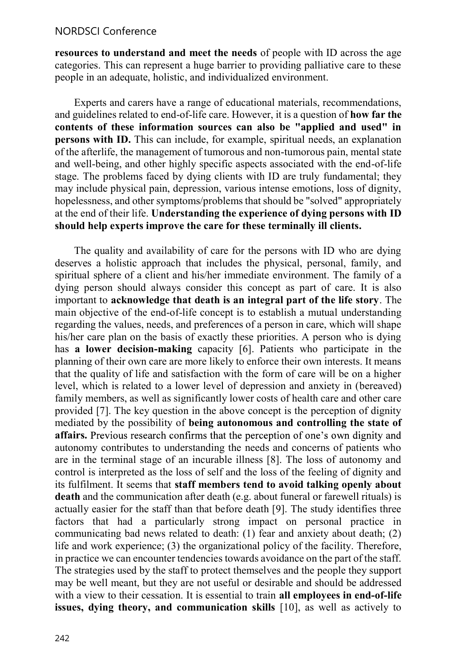resources to understand and meet the needs of people with ID across the age categories. This can represent a huge barrier to providing palliative care to these people in an adequate, holistic, and individualized environment.

Experts and carers have a range of educational materials, recommendations, and guidelines related to end-of-life care. However, it is a question of how far the contents of these information sources can also be "applied and used" in persons with ID. This can include, for example, spiritual needs, an explanation of the afterlife, the management of tumorous and non-tumorous pain, mental state and well-being, and other highly specific aspects associated with the end-of-life stage. The problems faced by dying clients with ID are truly fundamental; they may include physical pain, depression, various intense emotions, loss of dignity, hopelessness, and other symptoms/problems that should be "solved" appropriately at the end of their life. Understanding the experience of dying persons with ID should help experts improve the care for these terminally ill clients.

The quality and availability of care for the persons with ID who are dying deserves a holistic approach that includes the physical, personal, family, and spiritual sphere of a client and his/her immediate environment. The family of a dying person should always consider this concept as part of care. It is also important to acknowledge that death is an integral part of the life story. The main objective of the end-of-life concept is to establish a mutual understanding regarding the values, needs, and preferences of a person in care, which will shape his/her care plan on the basis of exactly these priorities. A person who is dying has a lower decision-making capacity [6]. Patients who participate in the planning of their own care are more likely to enforce their own interests. It means that the quality of life and satisfaction with the form of care will be on a higher level, which is related to a lower level of depression and anxiety in (bereaved) family members, as well as significantly lower costs of health care and other care provided [7]. The key question in the above concept is the perception of dignity mediated by the possibility of being autonomous and controlling the state of affairs. Previous research confirms that the perception of one's own dignity and autonomy contributes to understanding the needs and concerns of patients who are in the terminal stage of an incurable illness [8]. The loss of autonomy and control is interpreted as the loss of self and the loss of the feeling of dignity and its fulfilment. It seems that staff members tend to avoid talking openly about death and the communication after death (e.g. about funeral or farewell rituals) is actually easier for the staff than that before death [9]. The study identifies three factors that had a particularly strong impact on personal practice in communicating bad news related to death: (1) fear and anxiety about death; (2) life and work experience; (3) the organizational policy of the facility. Therefore, in practice we can encounter tendencies towards avoidance on the part of the staff. The strategies used by the staff to protect themselves and the people they support may be well meant, but they are not useful or desirable and should be addressed with a view to their cessation. It is essential to train all employees in end-of-life issues, dying theory, and communication skills [10], as well as actively to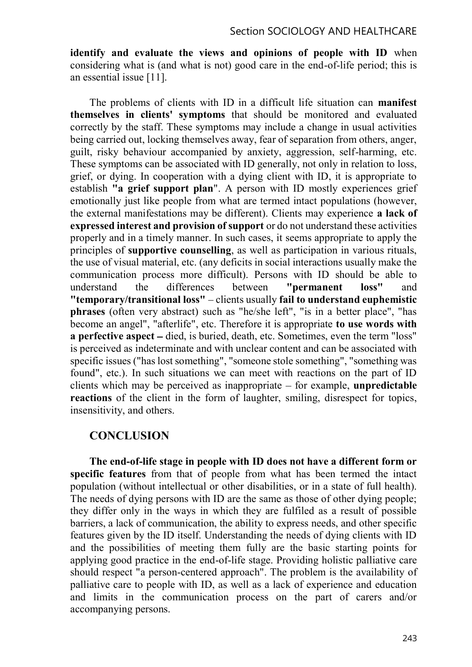identify and evaluate the views and opinions of people with ID when considering what is (and what is not) good care in the end-of-life period; this is an essential issue [11].

The problems of clients with ID in a difficult life situation can manifest themselves in clients' symptoms that should be monitored and evaluated correctly by the staff. These symptoms may include a change in usual activities being carried out, locking themselves away, fear of separation from others, anger, guilt, risky behaviour accompanied by anxiety, aggression, self-harming, etc. These symptoms can be associated with ID generally, not only in relation to loss, grief, or dying. In cooperation with a dying client with ID, it is appropriate to establish "a grief support plan". A person with ID mostly experiences grief emotionally just like people from what are termed intact populations (however, the external manifestations may be different). Clients may experience a lack of expressed interest and provision of support or do not understand these activities properly and in a timely manner. In such cases, it seems appropriate to apply the principles of supportive counselling, as well as participation in various rituals, the use of visual material, etc. (any deficits in social interactions usually make the communication process more difficult). Persons with ID should be able to understand the differences between "permanent loss" and "temporary/transitional loss"  $-$  clients usually fail to understand euphemistic phrases (often very abstract) such as "he/she left", "is in a better place", "has become an angel", "afterlife", etc. Therefore it is appropriate to use words with a perfective aspect – died, is buried, death, etc. Sometimes, even the term "loss" is perceived as indeterminate and with unclear content and can be associated with specific issues ("has lost something", "someone stole something", "something was found", etc.). In such situations we can meet with reactions on the part of ID clients which may be perceived as inappropriate  $-$  for example, unpredictable reactions of the client in the form of laughter, smiling, disrespect for topics, insensitivity, and others.

# **CONCLUSION**

The end-of-life stage in people with ID does not have a different form or specific features from that of people from what has been termed the intact population (without intellectual or other disabilities, or in a state of full health). The needs of dying persons with ID are the same as those of other dying people; they differ only in the ways in which they are fulfiled as a result of possible barriers, a lack of communication, the ability to express needs, and other specific features given by the ID itself. Understanding the needs of dying clients with ID and the possibilities of meeting them fully are the basic starting points for applying good practice in the end-of-life stage. Providing holistic palliative care should respect "a person-centered approach". The problem is the availability of palliative care to people with ID, as well as a lack of experience and education and limits in the communication process on the part of carers and/or accompanying persons.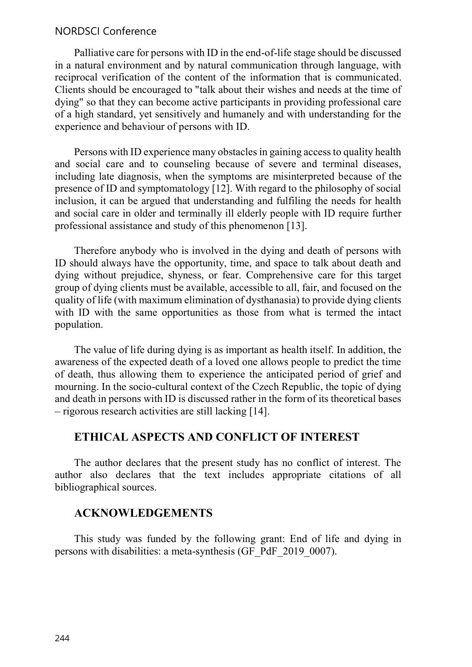Palliative care for persons with ID in the end-of-life stage should be discussed in a natural environment and by natural communication through language, with reciprocal verification of the content of the information that is communicated. Clients should be encouraged to "talk about their wishes and needs at the time of dying" so that they can become active participants in providing professional care of a high standard, yet sensitively and humanely and with understanding for the experience and behaviour of persons with ID.

Persons with ID experience many obstacles in gaining access to quality health and social care and to counseling because of severe and terminal diseases, including late diagnosis, when the symptoms are misinterpreted because of the presence of ID and symptomatology [12]. With regard to the philosophy of social inclusion, it can be argued that understanding and fulfiling the needs for health and social care in older and terminally ill elderly people with ID require further professional assistance and study of this phenomenon [13].

Therefore anybody who is involved in the dying and death of persons with ID should always have the opportunity, time, and space to talk about death and dying without prejudice, shyness, or fear. Comprehensive care for this target group of dying clients must be available, accessible to all, fair, and focused on the quality of life (with maximum elimination of dysthanasia) to provide dying clients with ID with the same opportunities as those from what is termed the intact population.

The value of life during dying is as important as health itself. In addition, the awareness of the expected death of a loved one allows people to predict the time of death, thus allowing them to experience the anticipated period of grief and mourning. In the socio-cultural context of the Czech Republic, the topic of dying and death in persons with ID is discussed rather in the form of its theoretical bases  $-$  rigorous research activities are still lacking [14].

### ETHICAL ASPECTS AND CONFLICT OF INTEREST

The author declares that the present study has no conflict of interest. The author also declares that the text includes appropriate citations of all bibliographical sources.

### ACKNOWLEDGEMENTS

This study was funded by the following grant: End of life and dying in persons with disabilities: a meta-synthesis (GF\_PdF\_2019\_0007).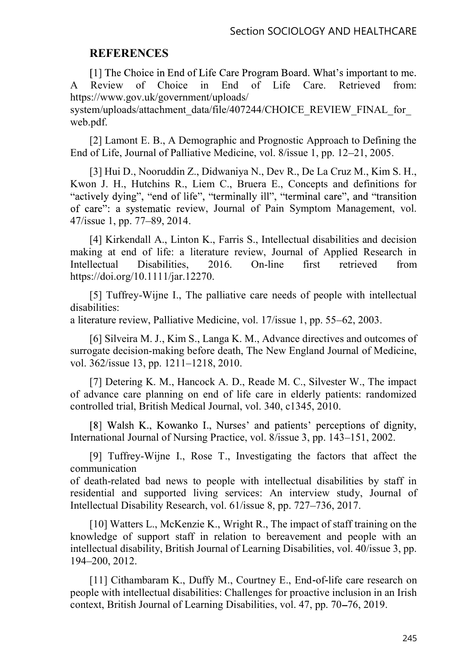#### **REFERENCES**

[1] The Choice in End of Life Care Program Board. What's important to me. A Review of Choice in End of Life Care. Retrieved from: https://www.gov.uk/government/uploads/

system/uploads/attachment\_data/file/407244/CHOICE\_REVIEW\_FINAL\_for web.pdf.

[2] Lamont E. B., A Demographic and Prognostic Approach to Defining the End of Life, Journal of Palliative Medicine, vol. 8/issue 1, pp. 12–21, 2005.

[3] Hui D., Nooruddin Z., Didwaniya N., Dev R., De La Cruz M., Kim S. H., Kwon J. H., Hutchins R., Liem C., Bruera E., Concepts and definitions for "actively dying", "end of life", "terminally ill", "terminal care", and "transition of care": a systematic review, Journal of Pain Symptom Management, vol. 47/issue 1, pp. 77–89, 2014.

[4] Kirkendall A., Linton K., Farris S., Intellectual disabilities and decision making at end of life: a literature review, Journal of Applied Research in Intellectual Disabilities, 2016. On-line first retrieved from https://doi.org/10.1111/jar.12270.

[5] Tuffrey-Wijne I., The palliative care needs of people with intellectual disabilities:

a literature review, Palliative Medicine, vol. 17/issue 1, pp. 55–62, 2003.

[6] Silveira M. J., Kim S., Langa K. M., Advance directives and outcomes of surrogate decision-making before death, The New England Journal of Medicine, vol. 362/issue 13, pp. 1211–1218, 2010.

[7] Detering K. M., Hancock A. D., Reade M. C., Silvester W., The impact of advance care planning on end of life care in elderly patients: randomized controlled trial, British Medical Journal, vol. 340, c1345, 2010.

[8] Walsh K., Kowanko I., Nurses' and patients' perceptions of dignity, International Journal of Nursing Practice, vol. 8/issue 3, pp. 143–151, 2002.

[9] Tuffrey-Wijne I., Rose T., Investigating the factors that affect the communication

of death-related bad news to people with intellectual disabilities by staff in residential and supported living services: An interview study, Journal of Intellectual Disability Research, vol. 61/issue 8, pp. 727–736, 2017.

[10] Watters L., McKenzie K., Wright R., The impact of staff training on the knowledge of support staff in relation to bereavement and people with an intellectual disability, British Journal of Learning Disabilities, vol. 40/issue 3, pp. 194 200, 2012.

[11] Cithambaram K., Duffy M., Courtney E., End-of-life care research on people with intellectual disabilities: Challenges for proactive inclusion in an Irish context, British Journal of Learning Disabilities, vol. 47, pp. 70–76, 2019.